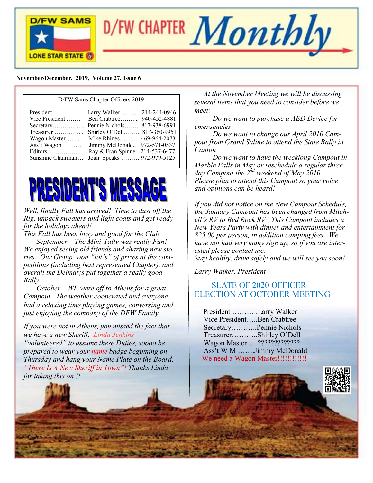



#### **November/December, 2019, Vol**u**me 27, Issue 6**

#### D/FW Sams Chapter Officers 2019

| $President$<br>Vice President<br>Wagon Master<br>Ass't Wagon<br>Editors | Larry Walker  214-244-0946<br>Ben Crabtree940-452-4881<br>Secretary Pennie Nichols 817-938-6991<br>Treasurer  Shirley O'Dell 817-360-9951<br>Mike Rhines 469-964-2073<br>Jimmy McDonald 972-571-0537<br>Ray & Fran Spinner 214-537-6477 |
|-------------------------------------------------------------------------|-----------------------------------------------------------------------------------------------------------------------------------------------------------------------------------------------------------------------------------------|
| Sunshine Chairman                                                       | Joan Speaks  972-979-5125                                                                                                                                                                                                               |



*Well, finally Fall has arrived! Time to dust off the Rig, unpack sweaters and light coats and get ready for the holidays ahead!* 

*This Fall has been busy and good for the Club: September – The Mini-Tally was really Fun! We enjoyed seeing old friends and sharing new stories. Our Group won "lot's" of prizes at the competitions (including best represented Chapter), and overall the Delmar;s put together a really good Rally.*

 *October – WE were off to Athens for a great Campout. The weather cooperated and everyone had a relaxing time playing games, conversing and just enjoying the company of the DFW Family.*

*If you were not in Athens, you missed the fact that we have a new Sheriff. Linda Jenkins* 

*"volunteered" to assume these Duties, soooo be prepared to wear your name badge beginning on Thursday and hang your Name Plate on the Board. "There Is A New Sheriff in Town"! Thanks Linda for taking this on !!*

 *At the November Meeting we will be discussing several items that you need to consider before we meet:* 

 *Do we want to purchase a AED Device for emergencies*

 *Do we want to change our April 2010 Campout from Grand Saline to attend the State Rally in Canton*

 *Do we want to have the weeklong Campout in Marble Falls in May or reschedule a regular three day Campout the 2nd weekend of May 2010 Please plan to attend this Campout so your voice and opinions can be heard!*

*If you did not notice on the New Campout Schedule, the January Campout has been changed from Mitchell's RV to Bed Rock RV . This Campout includes a New Years Party with dinner and entertainment for \$25.00 per person, in addition camping fees. We have not had very many sign up, so if you are interested please contact me.*

*Stay healthy, drive safely and we will see you soon!*

*Larry Walker, President*

### SLATE OF 2020 OFFICER ELECTION AT OCTOBER MEETING

 President ……… .Larry Walker Vice President…..Ben Crabtree Secretary………..Pennie Nichols Treasurer………..Shirley O'Dell Wagon Master…..????????????? Ass't W M …….Jimmy McDonald We need a Wagon Master!!!!!!!!!!!!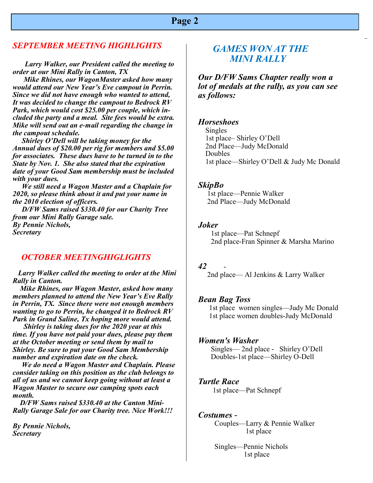### **Page 2**

#### *SEPTEMBER MEETING HIGHLIGHTS*

 *Larry Walker, our President called the meeting to order at our Mini Rally in Canton, TX*

 *Mike Rhines, our WagonMaster asked how many would attend our New Year's Eve campout in Perrin. Since we did not have enough who wanted to attend, It was decided to change the campout to Bedrock RV Park, which would cost \$25.00 per couple, which included the party and a meal. Site fees would be extra. Mike will send out an e-mail regarding the change in the campout schedule.*

 *Shirley O'Dell will be taking money for the Annual dues of \$20.00 per rig for members and \$5.00 for associates. These dues have to be turned in to the State by Nov. 1. She also stated that the expiration date of your Good Sam membership must be included with your dues.*

 *We still need a Wagon Master and a Chaplain for 2020, so please think about it and put your name in the 2010 election of officers.*

 *D/FW Sams raised \$330.40 for our Charity Tree from our Mini Rally Garage sale. By Pennie Nichols, Secretary*

#### *OCTOBER MEETINGHIGLIGHTS*

 *Larry Walker called the meeting to order at the Mini Rally in Canton.*

 *Mike Rhines, our Wagon Master, asked how many members planned to attend the New Year's Eve Rally in Perrin, TX. Since there were not enough members wanting to go to Perrin, he changed it to Bedrock RV Park in Grand Saline, Tx hoping more would attend.*

 *Shirley is taking dues for the 2020 year at this time. If you have not paid your dues, please pay them at the October meeting or send them by mail to Shirley. Be sure to put your Good Sam Membership number and expiration date on the check.*

 *We do need a Wagon Master and Chaplain. Please consider taking on this position as the club belongs to all of us and we cannot keep going without at least a Wagon Master to secure our camping spots each month.*

 *D/FW Sams raised \$330.40 at the Canton Mini-Rally Garage Sale for our Charity tree. Nice Work!!!*

*By Pennie Nichols, Secretary*

### *GAMES WON AT THE MINI RALLY*

 *Our D/FW Sams Chapter really won a lot of medals at the rally, as you can see as follows:*

#### *Horseshoes*

 Singles 1st place– Shirley O'Dell 2nd Place—Judy McDonald Doubles 1st place—Shirley O'Dell & Judy Mc Donald

#### *SkipBo*

 1st place—Pennie Walker 2nd Place—Judy McDonald

#### *Joker*

 1st place—Pat Schnepf 2nd place-Fran Spinner & Marsha Marino

#### *42* -

2nd place— Al Jenkins & Larry Walker

#### *Bean Bag Toss*

 1st place women singles—Judy Mc Donald 1st place women doubles-Judy McDonald

#### *Women's Washer*

 Singles— 2nd place - Shirley O'Dell Doubles-1st place—Shirley O-Dell

#### *Turtle Race*

1st place—Pat Schnepf

#### *Costumes -*

 Couples—Larry & Pennie Walker 1st place

 Singles—Pennie Nichols 1st place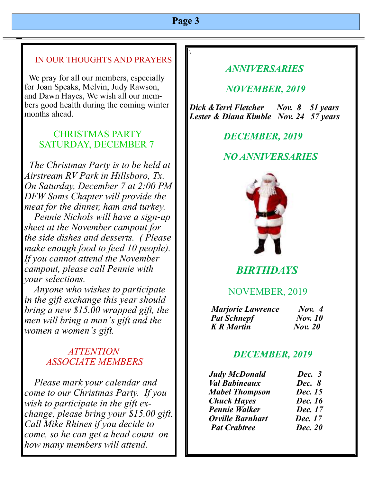# **Page 3**

 $\setminus$ 

### IN OUR THOUGHTS AND PRAYERS

We pray for all our members, especially for Joan Speaks, Melvin, Judy Rawson, and Dawn Hayes, We wish all our members good health during the coming winter months ahead.

### CHRISTMAS PARTY SATURDAY, DECEMBER 7

 *The Christmas Party is to be held at Airstream RV Park in Hillsboro, Tx. On Saturday, December 7 at 2:00 PM DFW Sams Chapter will provide the meat for the dinner, ham and turkey.*

 *Pennie Nichols will have a sign-up sheet at the November campout for the side dishes and desserts. ( Please make enough food to feed 10 people). If you cannot attend the November campout, please call Pennie with your selections.*

 *Anyone who wishes to participate in the gift exchange this year should bring a new \$15.00 wrapped gift, the men will bring a man's gift and the women a women's gift.*

## *ATTENTION ASSOCIATE MEMBERS*

 *Please mark your calendar and come to our Christmas Party. If you wish to participate in the gift exchange, please bring your \$15.00 gift. Call Mike Rhines if you decide to come, so he can get a head count on how many members will attend.*

# *ANNIVERSARIES*

### *NOVEMBER, 2019*

*Dick &Terri Fletcher Nov. 8 51 years Lester & Diana Kimble Nov. 24 57 years* 

 *DECEMBER, 2019*

# *NO ANNIVERSARIES*



# *BIRTHDAYS*

### NOVEMBER, 2019

| <b>Marjorie Lawrence</b> | Now. 4         |
|--------------------------|----------------|
| <b>Pat Schnepf</b>       | <b>Nov.</b> 10 |
| <b>K</b> R Martin        | <b>Nov. 20</b> |

### *DECEMBER, 2019*

| <b>Judy McDonald</b>    | Dec. 3         |
|-------------------------|----------------|
| <b>Val Babineaux</b>    | Dec. 8         |
| <b>Mabel Thompson</b>   | Dec. 15        |
| <b>Chuck Hayes</b>      | Dec. 16        |
| <b>Pennie Walker</b>    | Dec. 17        |
| <b>Orville Barnhart</b> | Dec. 17        |
| <b>Pat Crabtree</b>     | <b>Dec. 20</b> |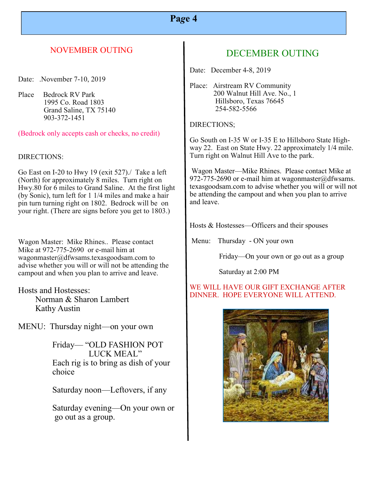# **Pa***g***e 4**

### NOVEMBER OUTING

Date: .November 7-10, 2019

Place Bedrock RV Park 1995 Co. Road 1803 Grand Saline, TX 75140 903-372-1451

(Bedrock only accepts cash or checks, no credit)

#### DIRECTIONS:

Go East on I-20 to Hwy 19 (exit 527)./ Take a left (North) for approximately 8 miles. Turn right on Hwy.80 for 6 miles to Grand Saline. At the first light (by Sonic), turn left for 1 1/4 miles and make a hair pin turn turning right on 1802. Bedrock will be on your right. (There are signs before you get to 1803.)

Wagon Master: Mike Rhines.. Please contact Mike at 972-775-2690 or e-mail him at wagonmaster@dfwsams.texasgoodsam.com to advise whether you will or will not be attending the campout and when you plan to arrive and leave.

Hosts and Hostesses: Norman & Sharon Lambert Kathy Austin

MENU: Thursday night—on your own

 Friday— "OLD FASHION POT LUCK MEAL" Each rig is to bring as dish of your choice

Saturday noon—Leftovers, if any

 Saturday evening—On your own or go out as a group.

# DECEMBER OUTING

Date: December 4-8, 2019

Place: Airstream RV Community 200 Walnut Hill Ave. No., 1 Hillsboro, Texas 76645 254-582-5566

#### DIRECTIONS;

Go South on I-35 W or I-35 E to Hillsboro State Highway 22. East on State Hwy. 22 approximately 1/4 mile. Turn right on Walnut Hill Ave to the park.

Wagon Master—Mike Rhines. Please contact Mike at 972-775-2690 or e-mail him at wagonmaster@dfwsams. texasgoodsam.com to advise whether you will or will not be attending the campout and when you plan to arrive and leave.

Hosts & Hostesses—Officers and their spouses

Menu: Thursday - ON your own

Friday—On your own or go out as a group

Saturday at 2:00 PM

#### WE WILL HAVE OUR GIFT EXCHANGE AFTER DINNER. HOPE EVERYONE WILL ATTEND.